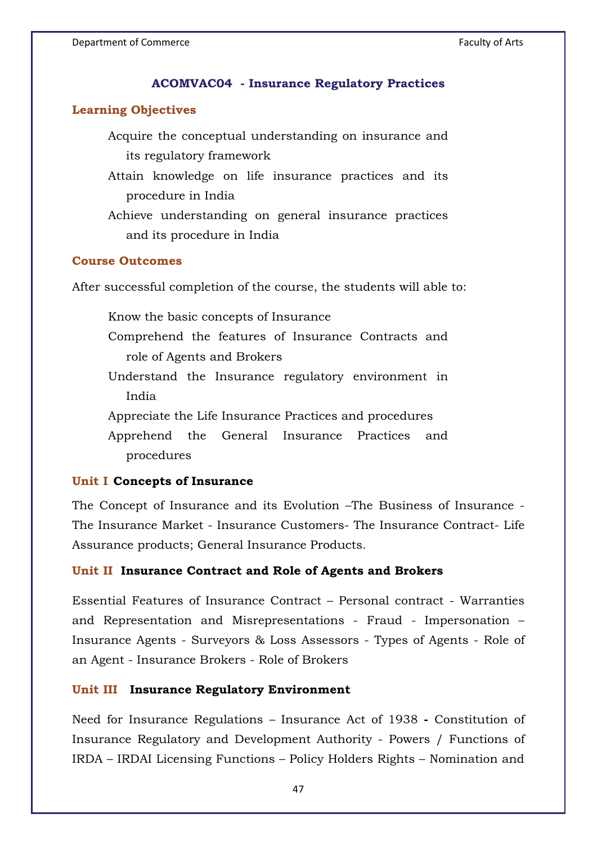### **ACOMVAC04 - Insurance Regulatory Practices**

### **Learning Objectives**

Acquire the conceptual understanding on insurance and its regulatory framework

Attain knowledge on life insurance practices and its procedure in India

Achieve understanding on general insurance practices and its procedure in India

## **Course Outcomes**

After successful completion of the course, the students will able to:

Know the basic concepts of Insurance Comprehend the features of Insurance Contracts and role of Agents and Brokers Understand the Insurance regulatory environment in India Appreciate the Life Insurance Practices and procedures Apprehend the General Insurance Practices and

procedures

#### **Unit I Concepts of Insurance**

The Concept of Insurance and its Evolution –The Business of Insurance - The Insurance Market - Insurance Customers- The Insurance Contract- Life Assurance products; General Insurance Products.

## **Unit II Insurance Contract and Role of Agents and Brokers**

Essential Features of Insurance Contract – Personal contract - Warranties and Representation and Misrepresentations - Fraud - Impersonation – Insurance Agents - Surveyors & Loss Assessors - Types of Agents - Role of an Agent - Insurance Brokers - Role of Brokers

#### **Unit III Insurance Regulatory Environment**

Need for Insurance Regulations – Insurance Act of 1938 **-** Constitution of Insurance Regulatory and Development Authority - Powers / Functions of IRDA – IRDAI Licensing Functions – Policy Holders Rights – Nomination and